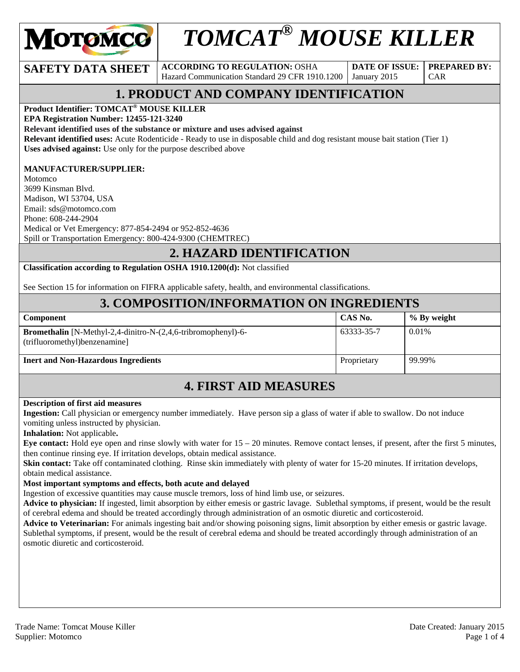

# *TOMCAT® MOUSE KILLER*

#### **SAFETY DATA SHEET** ACCORDING TO REGULATION: OSHA

Hazard Communication Standard 29 CFR 1910.1200

**DATE OF ISSUE:**  January 2015

**PREPARED BY:**  CAR

## **1. PRODUCT AND COMPANY IDENTIFICATION**

**Product Identifier: TOMCAT® MOUSE KILLER** 

**EPA Registration Number: 12455-121-3240** 

**Relevant identified uses of the substance or mixture and uses advised against**

**Relevant identified uses:** Acute Rodenticide - Ready to use in disposable child and dog resistant mouse bait station (Tier 1) **Uses advised against:** Use only for the purpose described above

#### **MANUFACTURER/SUPPLIER:**

Motomco 3699 Kinsman Blvd. Madison, WI 53704, USA Email: sds@motomco.com Phone: 608-244-2904 Medical or Vet Emergency: 877-854-2494 or 952-852-4636 Spill or Transportation Emergency: 800-424-9300 (CHEMTREC)

#### **2. HAZARD IDENTIFICATION**

**Classification according to Regulation OSHA 1910.1200(d):** Not classified

See Section 15 for information on FIFRA applicable safety, health, and environmental classifications.

#### **3. COMPOSITION/INFORMATION ON INGREDIENTS**

| <b>Component</b>                                                                                          | CAS No.     | % By weight |
|-----------------------------------------------------------------------------------------------------------|-------------|-------------|
| <b>Bromethalin</b> [N-Methyl-2,4-dinitro-N- $(2,4,6$ -tribromophenyl)-6-<br>(trifluoromethyl)benzenamine] | 63333-35-7  | 0.01%       |
| <b>Inert and Non-Hazardous Ingredients</b>                                                                | Proprietary | 99.99%      |

#### **4. FIRST AID MEASURES**

#### **Description of first aid measures**

**Ingestion:** Call physician or emergency number immediately. Have person sip a glass of water if able to swallow. Do not induce vomiting unless instructed by physician.

**Inhalation:** Not applicable**.** 

**Eye contact:** Hold eye open and rinse slowly with water for 15 – 20 minutes. Remove contact lenses, if present, after the first 5 minutes, then continue rinsing eye. If irritation develops, obtain medical assistance.

**Skin contact:** Take off contaminated clothing. Rinse skin immediately with plenty of water for 15-20 minutes. If irritation develops, obtain medical assistance.

#### **Most important symptoms and effects, both acute and delayed**

Ingestion of excessive quantities may cause muscle tremors, loss of hind limb use, or seizures.

**Advice to physician:** If ingested, limit absorption by either emesis or gastric lavage. Sublethal symptoms, if present, would be the result of cerebral edema and should be treated accordingly through administration of an osmotic diuretic and corticosteroid.

**Advice to Veterinarian:** For animals ingesting bait and/or showing poisoning signs, limit absorption by either emesis or gastric lavage. Sublethal symptoms, if present, would be the result of cerebral edema and should be treated accordingly through administration of an osmotic diuretic and corticosteroid.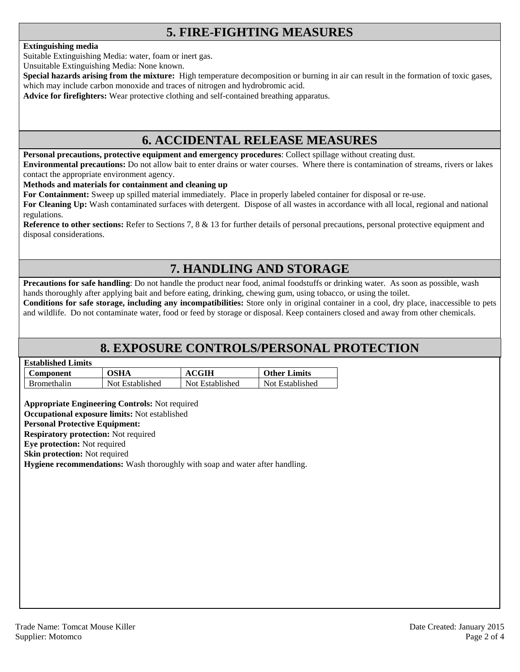## **5. FIRE-FIGHTING MEASURES**

#### **Extinguishing media**

Suitable Extinguishing Media: water, foam or inert gas.

Unsuitable Extinguishing Media: None known.

**Special hazards arising from the mixture:** High temperature decomposition or burning in air can result in the formation of toxic gases, which may include carbon monoxide and traces of nitrogen and hydrobromic acid.

**Advice for firefighters:** Wear protective clothing and self-contained breathing apparatus.

#### **6. ACCIDENTAL RELEASE MEASURES**

**Personal precautions, protective equipment and emergency procedures**: Collect spillage without creating dust.

**Environmental precautions:** Do not allow bait to enter drains or water courses. Where there is contamination of streams, rivers or lakes contact the appropriate environment agency.

**Methods and materials for containment and cleaning up**

**For Containment:** Sweep up spilled material immediately. Place in properly labeled container for disposal or re-use.

**For Cleaning Up:** Wash contaminated surfaces with detergent. Dispose of all wastes in accordance with all local, regional and national regulations.

**Reference to other sections:** Refer to Sections 7, 8 & 13 for further details of personal precautions, personal protective equipment and disposal considerations.

## **7. HANDLING AND STORAGE**

**Precautions for safe handling**: Do not handle the product near food, animal foodstuffs or drinking water. As soon as possible, wash hands thoroughly after applying bait and before eating, drinking, chewing gum, using tobacco, or using the toilet.

**Conditions for safe storage, including any incompatibilities:** Store only in original container in a cool, dry place, inaccessible to pets and wildlife. Do not contaminate water, food or feed by storage or disposal. Keep containers closed and away from other chemicals.

#### **8. EXPOSURE CONTROLS/PERSONAL PROTECTION**

| <b>Established Limits</b> |                 |                 |                     |
|---------------------------|-----------------|-----------------|---------------------|
| <b>Component</b>          | <b>OSHA</b>     | <b>ACGIH</b>    | <b>Other Limits</b> |
| <b>Bromethalin</b>        | Not Established | Not Established | Not Established     |

**Appropriate Engineering Controls:** Not required

**Occupational exposure limits:** Not established

**Personal Protective Equipment: Respiratory protection:** Not required

**Eye protection:** Not required

**Skin protection:** Not required

**Hygiene recommendations:** Wash thoroughly with soap and water after handling.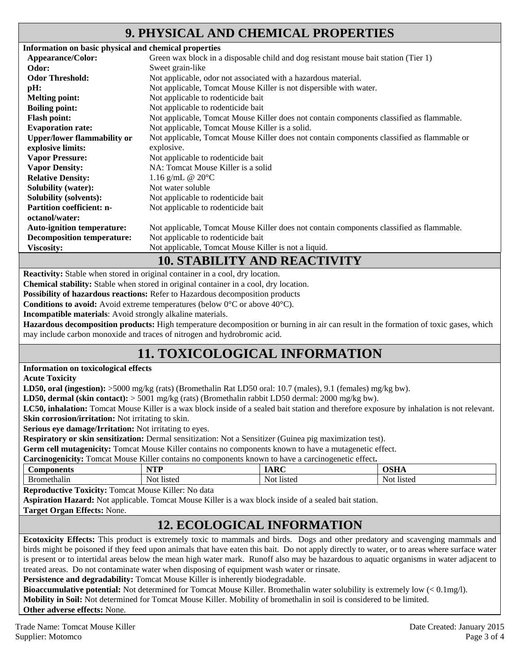#### **9. PHYSICAL AND CHEMICAL PROPERTIES**

| Information on basic physical and chemical properties |                                                                                            |  |  |
|-------------------------------------------------------|--------------------------------------------------------------------------------------------|--|--|
| Appearance/Color:                                     | Green wax block in a disposable child and dog resistant mouse bait station (Tier 1)        |  |  |
| Odor:                                                 | Sweet grain-like                                                                           |  |  |
| <b>Odor Threshold:</b>                                | Not applicable, odor not associated with a hazardous material.                             |  |  |
| pH:                                                   | Not applicable, Tomcat Mouse Killer is not dispersible with water.                         |  |  |
| <b>Melting point:</b>                                 | Not applicable to rodenticide bait                                                         |  |  |
| <b>Boiling point:</b>                                 | Not applicable to rodenticide bait                                                         |  |  |
| <b>Flash point:</b>                                   | Not applicable, Tomcat Mouse Killer does not contain components classified as flammable.   |  |  |
| <b>Evaporation rate:</b>                              | Not applicable, Tomcat Mouse Killer is a solid.                                            |  |  |
| <b>Upper/lower flammability or</b>                    | Not applicable, Tomcat Mouse Killer does not contain components classified as flammable or |  |  |
| explosive limits:                                     | explosive.                                                                                 |  |  |
| <b>Vapor Pressure:</b>                                | Not applicable to rodenticide bait                                                         |  |  |
| <b>Vapor Density:</b>                                 | NA: Tomcat Mouse Killer is a solid                                                         |  |  |
| <b>Relative Density:</b>                              | 1.16 g/mL @ $20^{\circ}$ C                                                                 |  |  |
| <b>Solubility (water):</b>                            | Not water soluble                                                                          |  |  |
| <b>Solubility (solvents):</b>                         | Not applicable to rodenticide bait                                                         |  |  |
| <b>Partition coefficient: n-</b>                      | Not applicable to rodenticide bait                                                         |  |  |
| octanol/water:                                        |                                                                                            |  |  |
| <b>Auto-ignition temperature:</b>                     | Not applicable, Tomcat Mouse Killer does not contain components classified as flammable.   |  |  |
| <b>Decomposition temperature:</b>                     | Not applicable to rodenticide bait                                                         |  |  |
| <b>Viscosity:</b>                                     | Not applicable, Tomcat Mouse Killer is not a liquid.                                       |  |  |
| 10 CELDII IBXZ AND DE LOBIUTIBXZ                      |                                                                                            |  |  |

#### **10. STABILITY AND REACTIVITY**

**Reactivity:** Stable when stored in original container in a cool, dry location.

**Chemical stability:** Stable when stored in original container in a cool, dry location.

**Possibility of hazardous reactions:** Refer to Hazardous decomposition products

**Conditions to avoid:** Avoid extreme temperatures (below 0°C or above 40°C).

**Incompatible materials**: Avoid strongly alkaline materials.

**Hazardous decomposition products:** High temperature decomposition or burning in air can result in the formation of toxic gases, which may include carbon monoxide and traces of nitrogen and hydrobromic acid.

# **11. TOXICOLOGICAL INFORMATION**

#### **Information on toxicological effects**

**Acute Toxicity** 

**LD50, oral (ingestion):** >5000 mg/kg (rats) (Bromethalin Rat LD50 oral: 10.7 (males), 9.1 (females) mg/kg bw).

**LD50, dermal (skin contact):** > 5001 mg/kg (rats) (Bromethalin rabbit LD50 dermal: 2000 mg/kg bw).

**LC50, inhalation:** Tomcat Mouse Killer is a wax block inside of a sealed bait station and therefore exposure by inhalation is not relevant. **Skin corrosion/irritation:** Not irritating to skin.

**Serious eye damage/Irritation:** Not irritating to eyes.

**Respiratory or skin sensitization:** Dermal sensitization: Not a Sensitizer (Guinea pig maximization test).

**Germ cell mutagenicity:** Tomcat Mouse Killer contains no components known to have a mutagenetic effect.

**Carcinogenicity:** Tomcat Mouse Killer contains no components known to have a carcinogenetic effect**.** 

| ponents      | w      | $\mathbf{D}$ | лен           |
|--------------|--------|--------------|---------------|
| $\mathbf{r}$ | .      |              | w             |
| пешанн       | listeg | Not          | Not           |
|              | Not    | listed       | <b>listed</b> |

**Reproductive Toxicity:** Tomcat Mouse Killer: No data

**Aspiration Hazard:** Not applicable. Tomcat Mouse Killer is a wax block inside of a sealed bait station.

#### **Target Organ Effects:** None.

# **12. ECOLOGICAL INFORMATION**

**Ecotoxicity Effects:** This product is extremely toxic to mammals and birds. Dogs and other predatory and scavenging mammals and birds might be poisoned if they feed upon animals that have eaten this bait. Do not apply directly to water, or to areas where surface water is present or to intertidal areas below the mean high water mark. Runoff also may be hazardous to aquatic organisms in water adjacent to treated areas. Do not contaminate water when disposing of equipment wash water or rinsate.

Persistence and degradability: Tomcat Mouse Killer is inherently biodegradable.

**Bioaccumulative potential:** Not determined for Tomcat Mouse Killer. Bromethalin water solubility is extremely low (< 0.1mg/l). **Mobility in Soil:** Not determined for Tomcat Mouse Killer. Mobility of bromethalin in soil is considered to be limited. **Other adverse effects:** None.